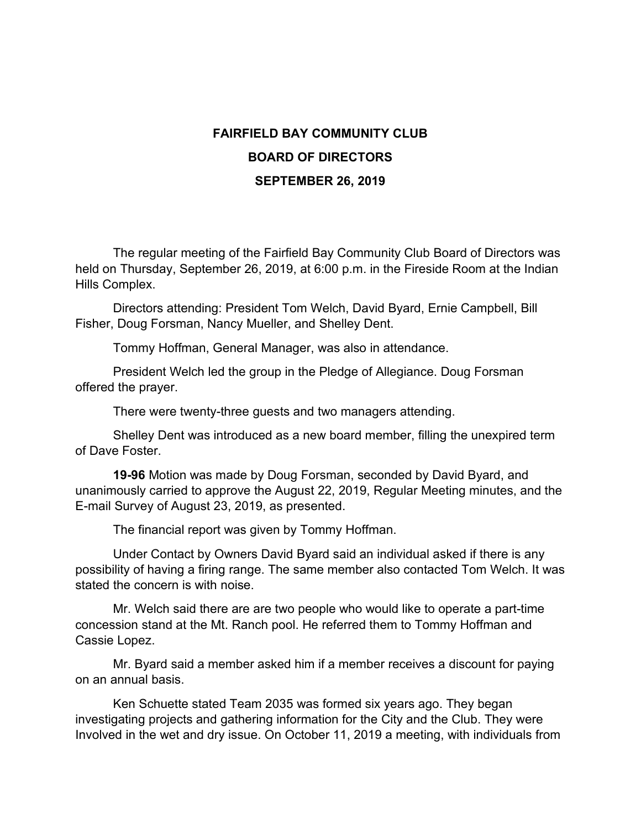## **FAIRFIELD BAY COMMUNITY CLUB BOARD OF DIRECTORS SEPTEMBER 26, 2019**

The regular meeting of the Fairfield Bay Community Club Board of Directors was held on Thursday, September 26, 2019, at 6:00 p.m. in the Fireside Room at the Indian Hills Complex.

Directors attending: President Tom Welch, David Byard, Ernie Campbell, Bill Fisher, Doug Forsman, Nancy Mueller, and Shelley Dent.

Tommy Hoffman, General Manager, was also in attendance.

President Welch led the group in the Pledge of Allegiance. Doug Forsman offered the prayer.

There were twenty-three guests and two managers attending.

Shelley Dent was introduced as a new board member, filling the unexpired term of Dave Foster.

**19-96** Motion was made by Doug Forsman, seconded by David Byard, and unanimously carried to approve the August 22, 2019, Regular Meeting minutes, and the E-mail Survey of August 23, 2019, as presented.

The financial report was given by Tommy Hoffman.

Under Contact by Owners David Byard said an individual asked if there is any possibility of having a firing range. The same member also contacted Tom Welch. It was stated the concern is with noise.

Mr. Welch said there are are two people who would like to operate a part-time concession stand at the Mt. Ranch pool. He referred them to Tommy Hoffman and Cassie Lopez.

Mr. Byard said a member asked him if a member receives a discount for paying on an annual basis.

Ken Schuette stated Team 2035 was formed six years ago. They began investigating projects and gathering information for the City and the Club. They were Involved in the wet and dry issue. On October 11, 2019 a meeting, with individuals from